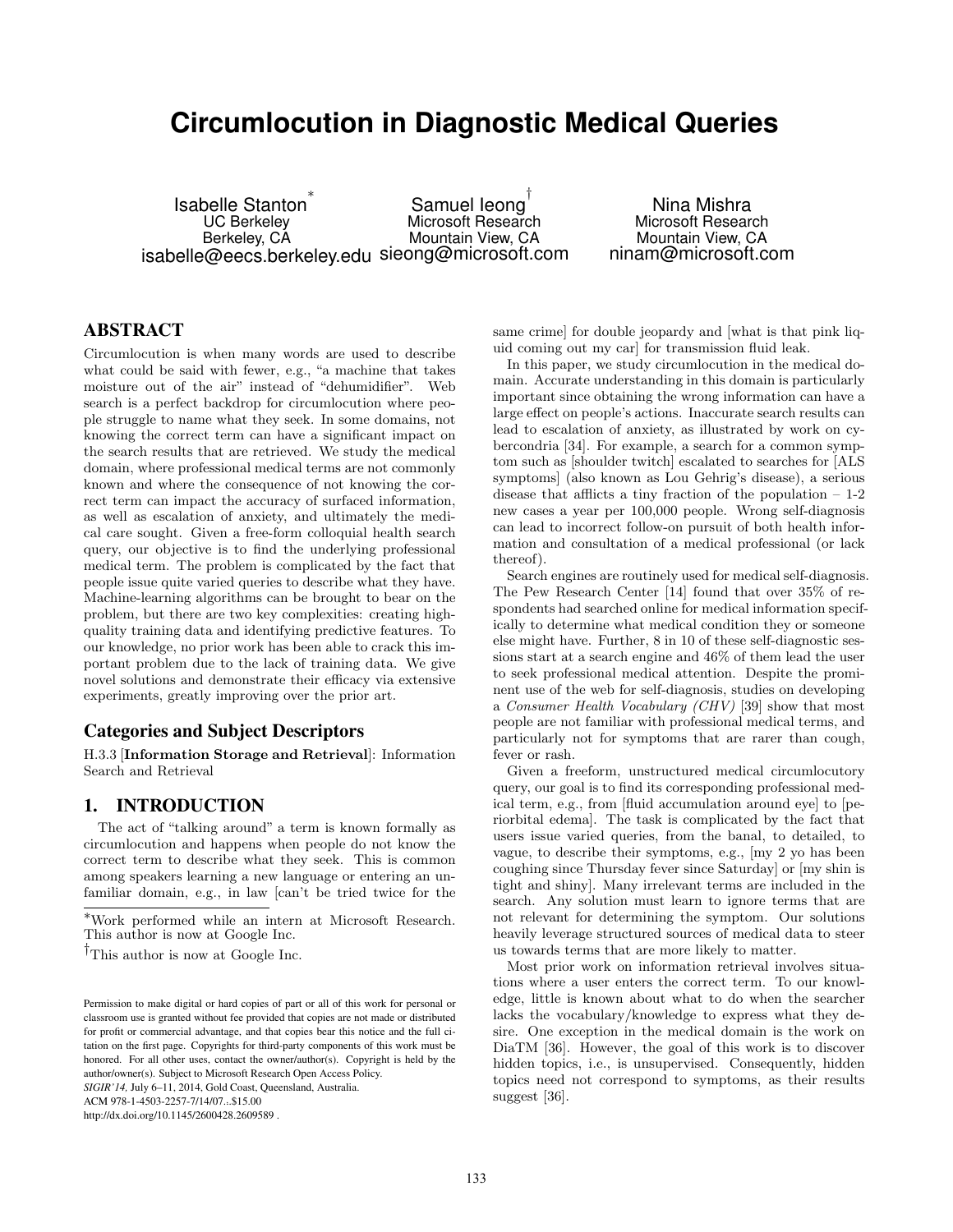# **Circumlocution in Diagnostic Medical Queries**

Isabelle Stanton UC Berkeley Berkeley, CA isabelle@eecs.berkeley.edu sieong@microsoft.com Samuel Ieong*†* Microsoft Research Mountain View, CA

Nina Mishra Microsoft Research Mountain View, CA ninam@microsoft.com

# ABSTRACT

Circumlocution is when many words are used to describe what could be said with fewer, e.g., "a machine that takes moisture out of the air" instead of "dehumidifier". Web search is a perfect backdrop for circumlocution where people struggle to name what they seek. In some domains, not knowing the correct term can have a significant impact on the search results that are retrieved. We study the medical domain, where professional medical terms are not commonly known and where the consequence of not knowing the correct term can impact the accuracy of surfaced information, as well as escalation of anxiety, and ultimately the medical care sought. Given a free-form colloquial health search query, our objective is to find the underlying professional medical term. The problem is complicated by the fact that people issue quite varied queries to describe what they have. Machine-learning algorithms can be brought to bear on the problem, but there are two key complexities: creating highquality training data and identifying predictive features. To our knowledge, no prior work has been able to crack this important problem due to the lack of training data. We give novel solutions and demonstrate their efficacy via extensive experiments, greatly improving over the prior art.

# Categories and Subject Descriptors

H.3.3 [Information Storage and Retrieval]: Information Search and Retrieval

# 1. INTRODUCTION

The act of "talking around" a term is known formally as circumlocution and happens when people do not know the correct term to describe what they seek. This is common among speakers learning a new language or entering an unfamiliar domain, e.g., in law [can't be tried twice for the

*SIGIR'14,* July 6–11, 2014, Gold Coast, Queensland, Australia.

ACM 978-1-4503-2257-7/14/07.˙ ..\$15.00

http://dx.doi.org/10.1145/2600428.2609589 .

same crime] for double jeopardy and [what is that pink liquid coming out my car] for transmission fluid leak.

In this paper, we study circumlocution in the medical domain. Accurate understanding in this domain is particularly important since obtaining the wrong information can have a large effect on people's actions. Inaccurate search results can lead to escalation of anxiety, as illustrated by work on cybercondria [34]. For example, a search for a common symptom such as [shoulder twitch] escalated to searches for [ALS symptoms] (also known as Lou Gehrig's disease), a serious disease that afflicts a tiny fraction of the population  $-1-2$ new cases a year per 100,000 people. Wrong self-diagnosis can lead to incorrect follow-on pursuit of both health information and consultation of a medical professional (or lack thereof).

Search engines are routinely used for medical self-diagnosis. The Pew Research Center [14] found that over 35% of respondents had searched online for medical information specifically to determine what medical condition they or someone else might have. Further, 8 in 10 of these self-diagnostic sessions start at a search engine and 46% of them lead the user to seek professional medical attention. Despite the prominent use of the web for self-diagnosis, studies on developing a *Consumer Health Vocabulary (CHV)* [39] show that most people are not familiar with professional medical terms, and particularly not for symptoms that are rarer than cough, fever or rash.

Given a freeform, unstructured medical circumlocutory query, our goal is to find its corresponding professional medical term, e.g., from [fluid accumulation around eye] to [periorbital edema]. The task is complicated by the fact that users issue varied queries, from the banal, to detailed, to vague, to describe their symptoms, e.g., [my 2 yo has been coughing since Thursday fever since Saturday] or [my shin is tight and shiny]. Many irrelevant terms are included in the search. Any solution must learn to ignore terms that are not relevant for determining the symptom. Our solutions heavily leverage structured sources of medical data to steer us towards terms that are more likely to matter.

Most prior work on information retrieval involves situations where a user enters the correct term. To our knowledge, little is known about what to do when the searcher lacks the vocabulary/knowledge to express what they desire. One exception in the medical domain is the work on DiaTM [36]. However, the goal of this work is to discover hidden topics, i.e., is unsupervised. Consequently, hidden topics need not correspond to symptoms, as their results suggest [36].

<sup>⇤</sup>Work performed while an intern at Microsoft Research. This author is now at Google Inc.

*<sup>†</sup>*This author is now at Google Inc.

Permission to make digital or hard copies of part or all of this work for personal or classroom use is granted without fee provided that copies are not made or distributed for profit or commercial advantage, and that copies bear this notice and the full citation on the first page. Copyrights for third-party components of this work must be honored. For all other uses, contact the owner/author(s). Copyright is held by the author/owner(s). Subject to Microsoft Research Open Access Policy.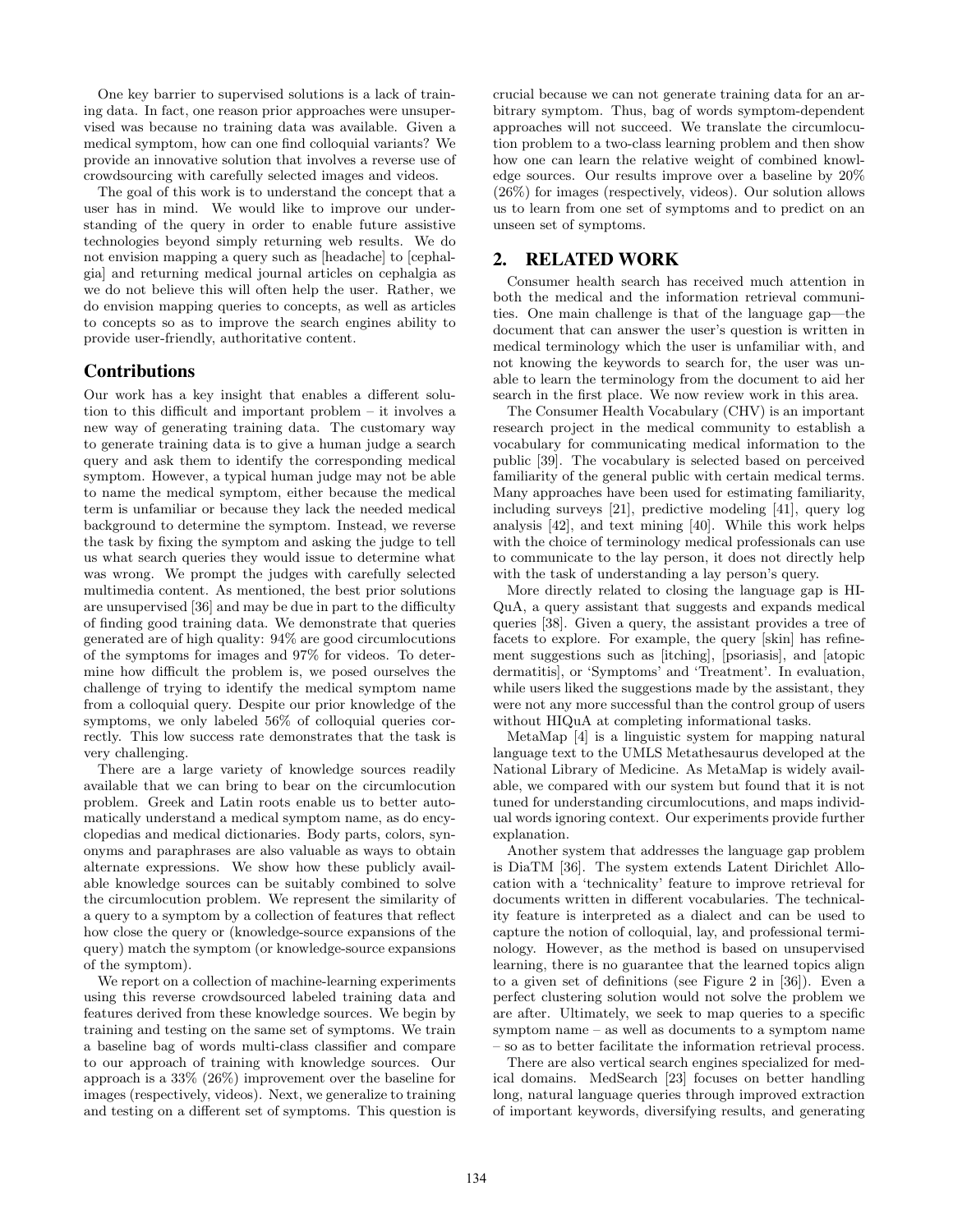One key barrier to supervised solutions is a lack of training data. In fact, one reason prior approaches were unsupervised was because no training data was available. Given a medical symptom, how can one find colloquial variants? We provide an innovative solution that involves a reverse use of crowdsourcing with carefully selected images and videos.

The goal of this work is to understand the concept that a user has in mind. We would like to improve our understanding of the query in order to enable future assistive technologies beyond simply returning web results. We do not envision mapping a query such as [headache] to [cephalgia] and returning medical journal articles on cephalgia as we do not believe this will often help the user. Rather, we do envision mapping queries to concepts, as well as articles to concepts so as to improve the search engines ability to provide user-friendly, authoritative content.

## Contributions

Our work has a key insight that enables a different solution to this difficult and important problem  $-$  it involves a new way of generating training data. The customary way to generate training data is to give a human judge a search query and ask them to identify the corresponding medical symptom. However, a typical human judge may not be able to name the medical symptom, either because the medical term is unfamiliar or because they lack the needed medical background to determine the symptom. Instead, we reverse the task by fixing the symptom and asking the judge to tell us what search queries they would issue to determine what was wrong. We prompt the judges with carefully selected multimedia content. As mentioned, the best prior solutions are unsupervised [36] and may be due in part to the difficulty of finding good training data. We demonstrate that queries generated are of high quality: 94% are good circumlocutions of the symptoms for images and 97% for videos. To determine how difficult the problem is, we posed ourselves the challenge of trying to identify the medical symptom name from a colloquial query. Despite our prior knowledge of the symptoms, we only labeled 56% of colloquial queries correctly. This low success rate demonstrates that the task is very challenging.

There are a large variety of knowledge sources readily available that we can bring to bear on the circumlocution problem. Greek and Latin roots enable us to better automatically understand a medical symptom name, as do encyclopedias and medical dictionaries. Body parts, colors, synonyms and paraphrases are also valuable as ways to obtain alternate expressions. We show how these publicly available knowledge sources can be suitably combined to solve the circumlocution problem. We represent the similarity of a query to a symptom by a collection of features that reflect how close the query or (knowledge-source expansions of the query) match the symptom (or knowledge-source expansions of the symptom).

We report on a collection of machine-learning experiments using this reverse crowdsourced labeled training data and features derived from these knowledge sources. We begin by training and testing on the same set of symptoms. We train a baseline bag of words multi-class classifier and compare to our approach of training with knowledge sources. Our approach is a 33% (26%) improvement over the baseline for images (respectively, videos). Next, we generalize to training and testing on a different set of symptoms. This question is crucial because we can not generate training data for an arbitrary symptom. Thus, bag of words symptom-dependent approaches will not succeed. We translate the circumlocution problem to a two-class learning problem and then show how one can learn the relative weight of combined knowledge sources. Our results improve over a baseline by 20% (26%) for images (respectively, videos). Our solution allows us to learn from one set of symptoms and to predict on an unseen set of symptoms.

# 2. RELATED WORK

Consumer health search has received much attention in both the medical and the information retrieval communities. One main challenge is that of the language gap—the document that can answer the user's question is written in medical terminology which the user is unfamiliar with, and not knowing the keywords to search for, the user was unable to learn the terminology from the document to aid her search in the first place. We now review work in this area.

The Consumer Health Vocabulary (CHV) is an important research project in the medical community to establish a vocabulary for communicating medical information to the public [39]. The vocabulary is selected based on perceived familiarity of the general public with certain medical terms. Many approaches have been used for estimating familiarity, including surveys [21], predictive modeling [41], query log analysis [42], and text mining [40]. While this work helps with the choice of terminology medical professionals can use to communicate to the lay person, it does not directly help with the task of understanding a lay person's query.

More directly related to closing the language gap is HI-QuA, a query assistant that suggests and expands medical queries [38]. Given a query, the assistant provides a tree of facets to explore. For example, the query [skin] has refinement suggestions such as [itching], [psoriasis], and [atopic dermatitis], or 'Symptoms' and 'Treatment'. In evaluation, while users liked the suggestions made by the assistant, they were not any more successful than the control group of users without HIQuA at completing informational tasks.

MetaMap [4] is a linguistic system for mapping natural language text to the UMLS Metathesaurus developed at the National Library of Medicine. As MetaMap is widely available, we compared with our system but found that it is not tuned for understanding circumlocutions, and maps individual words ignoring context. Our experiments provide further explanation.

Another system that addresses the language gap problem is DiaTM [36]. The system extends Latent Dirichlet Allocation with a 'technicality' feature to improve retrieval for documents written in different vocabularies. The technicality feature is interpreted as a dialect and can be used to capture the notion of colloquial, lay, and professional terminology. However, as the method is based on unsupervised learning, there is no guarantee that the learned topics align to a given set of definitions (see Figure 2 in [36]). Even a perfect clustering solution would not solve the problem we are after. Ultimately, we seek to map queries to a specific symptom name – as well as documents to a symptom name – so as to better facilitate the information retrieval process.

There are also vertical search engines specialized for medical domains. MedSearch [23] focuses on better handling long, natural language queries through improved extraction of important keywords, diversifying results, and generating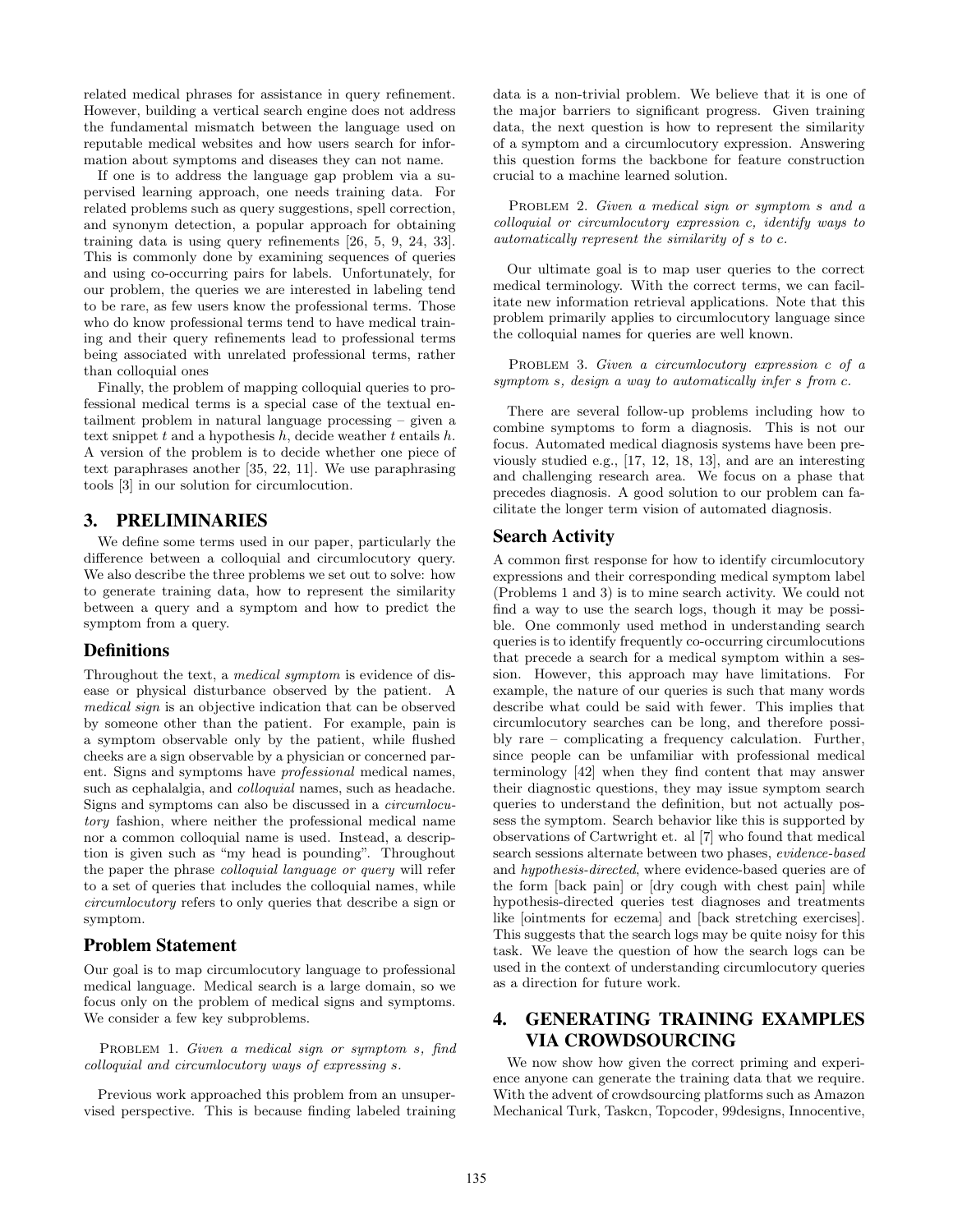related medical phrases for assistance in query refinement. However, building a vertical search engine does not address the fundamental mismatch between the language used on reputable medical websites and how users search for information about symptoms and diseases they can not name.

If one is to address the language gap problem via a supervised learning approach, one needs training data. For related problems such as query suggestions, spell correction, and synonym detection, a popular approach for obtaining training data is using query refinements [26, 5, 9, 24, 33]. This is commonly done by examining sequences of queries and using co-occurring pairs for labels. Unfortunately, for our problem, the queries we are interested in labeling tend to be rare, as few users know the professional terms. Those who do know professional terms tend to have medical training and their query refinements lead to professional terms being associated with unrelated professional terms, rather than colloquial ones

Finally, the problem of mapping colloquial queries to professional medical terms is a special case of the textual entailment problem in natural language processing – given a text snippet *t* and a hypothesis *h*, decide weather *t* entails *h*. A version of the problem is to decide whether one piece of text paraphrases another [35, 22, 11]. We use paraphrasing tools [3] in our solution for circumlocution.

## 3. PRELIMINARIES

We define some terms used in our paper, particularly the difference between a colloquial and circumlocutory query. We also describe the three problems we set out to solve: how to generate training data, how to represent the similarity between a query and a symptom and how to predict the symptom from a query.

## **Definitions**

Throughout the text, a *medical symptom* is evidence of disease or physical disturbance observed by the patient. A *medical sign* is an objective indication that can be observed by someone other than the patient. For example, pain is a symptom observable only by the patient, while flushed cheeks are a sign observable by a physician or concerned parent. Signs and symptoms have *professional* medical names, such as cephalalgia, and *colloquial* names, such as headache. Signs and symptoms can also be discussed in a *circumlocutory* fashion, where neither the professional medical name nor a common colloquial name is used. Instead, a description is given such as "my head is pounding". Throughout the paper the phrase *colloquial language or query* will refer to a set of queries that includes the colloquial names, while *circumlocutory* refers to only queries that describe a sign or symptom.

# Problem Statement

Our goal is to map circumlocutory language to professional medical language. Medical search is a large domain, so we focus only on the problem of medical signs and symptoms. We consider a few key subproblems.

Problem 1. *Given a medical sign or symptom s, find colloquial and circumlocutory ways of expressing s.*

Previous work approached this problem from an unsupervised perspective. This is because finding labeled training data is a non-trivial problem. We believe that it is one of the major barriers to significant progress. Given training data, the next question is how to represent the similarity of a symptom and a circumlocutory expression. Answering this question forms the backbone for feature construction crucial to a machine learned solution.

Problem 2. *Given a medical sign or symptom s and a colloquial or circumlocutory expression c, identify ways to automatically represent the similarity of s to c.*

Our ultimate goal is to map user queries to the correct medical terminology. With the correct terms, we can facilitate new information retrieval applications. Note that this problem primarily applies to circumlocutory language since the colloquial names for queries are well known.

Problem 3. *Given a circumlocutory expression c of a symptom s, design a way to automatically infer s from c.*

There are several follow-up problems including how to combine symptoms to form a diagnosis. This is not our focus. Automated medical diagnosis systems have been previously studied e.g., [17, 12, 18, 13], and are an interesting and challenging research area. We focus on a phase that precedes diagnosis. A good solution to our problem can facilitate the longer term vision of automated diagnosis.

## Search Activity

A common first response for how to identify circumlocutory expressions and their corresponding medical symptom label (Problems 1 and 3) is to mine search activity. We could not find a way to use the search logs, though it may be possible. One commonly used method in understanding search queries is to identify frequently co-occurring circumlocutions that precede a search for a medical symptom within a session. However, this approach may have limitations. For example, the nature of our queries is such that many words describe what could be said with fewer. This implies that circumlocutory searches can be long, and therefore possibly rare – complicating a frequency calculation. Further, since people can be unfamiliar with professional medical terminology [42] when they find content that may answer their diagnostic questions, they may issue symptom search queries to understand the definition, but not actually possess the symptom. Search behavior like this is supported by observations of Cartwright et. al [7] who found that medical search sessions alternate between two phases, *evidence-based* and *hypothesis-directed*, where evidence-based queries are of the form [back pain] or [dry cough with chest pain] while hypothesis-directed queries test diagnoses and treatments like [ointments for eczema] and [back stretching exercises]. This suggests that the search logs may be quite noisy for this task. We leave the question of how the search logs can be used in the context of understanding circumlocutory queries as a direction for future work.

# 4. GENERATING TRAINING EXAMPLES VIA CROWDSOURCING

We now show how given the correct priming and experience anyone can generate the training data that we require. With the advent of crowdsourcing platforms such as Amazon Mechanical Turk, Taskcn, Topcoder, 99designs, Innocentive,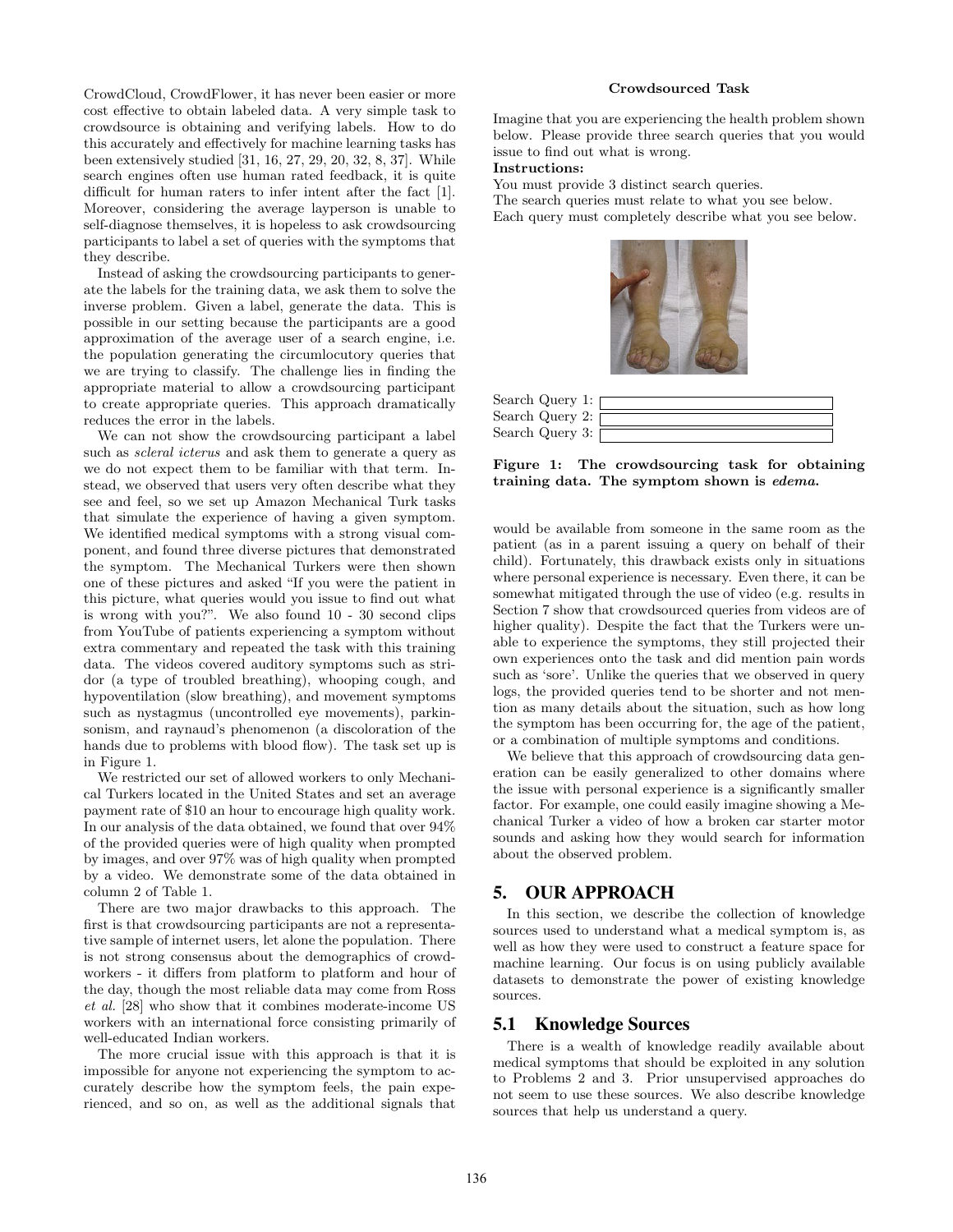CrowdCloud, CrowdFlower, it has never been easier or more cost effective to obtain labeled data. A very simple task to crowdsource is obtaining and verifying labels. How to do this accurately and effectively for machine learning tasks has been extensively studied [31, 16, 27, 29, 20, 32, 8, 37]. While search engines often use human rated feedback, it is quite difficult for human raters to infer intent after the fact [1]. Moreover, considering the average layperson is unable to self-diagnose themselves, it is hopeless to ask crowdsourcing participants to label a set of queries with the symptoms that they describe.

Instead of asking the crowdsourcing participants to generate the labels for the training data, we ask them to solve the inverse problem. Given a label, generate the data. This is possible in our setting because the participants are a good approximation of the average user of a search engine, i.e. the population generating the circumlocutory queries that we are trying to classify. The challenge lies in finding the appropriate material to allow a crowdsourcing participant to create appropriate queries. This approach dramatically reduces the error in the labels.

We can not show the crowdsourcing participant a label such as *scleral icterus* and ask them to generate a query as we do not expect them to be familiar with that term. Instead, we observed that users very often describe what they see and feel, so we set up Amazon Mechanical Turk tasks that simulate the experience of having a given symptom. We identified medical symptoms with a strong visual component, and found three diverse pictures that demonstrated the symptom. The Mechanical Turkers were then shown one of these pictures and asked "If you were the patient in this picture, what queries would you issue to find out what is wrong with you?". We also found 10 - 30 second clips from YouTube of patients experiencing a symptom without extra commentary and repeated the task with this training data. The videos covered auditory symptoms such as stridor (a type of troubled breathing), whooping cough, and hypoventilation (slow breathing), and movement symptoms such as nystagmus (uncontrolled eye movements), parkinsonism, and raynaud's phenomenon (a discoloration of the hands due to problems with blood flow). The task set up is in Figure 1.

We restricted our set of allowed workers to only Mechanical Turkers located in the United States and set an average payment rate of \$10 an hour to encourage high quality work. In our analysis of the data obtained, we found that over 94% of the provided queries were of high quality when prompted by images, and over 97% was of high quality when prompted by a video. We demonstrate some of the data obtained in column 2 of Table 1.

There are two major drawbacks to this approach. The first is that crowdsourcing participants are not a representative sample of internet users, let alone the population. There is not strong consensus about the demographics of crowdworkers - it differs from platform to platform and hour of the day, though the most reliable data may come from Ross *et al.* [28] who show that it combines moderate-income US workers with an international force consisting primarily of well-educated Indian workers.

The more crucial issue with this approach is that it is impossible for anyone not experiencing the symptom to accurately describe how the symptom feels, the pain experienced, and so on, as well as the additional signals that

#### Crowdsourced Task

Imagine that you are experiencing the health problem shown below. Please provide three search queries that you would issue to find out what is wrong.

## Instructions:

You must provide 3 distinct search queries.

The search queries must relate to what you see below. Each query must completely describe what you see below.



Search Query 1: Search Query 2: Search Query 3:



Figure 1: The crowdsourcing task for obtaining training data. The symptom shown is *edema*.

would be available from someone in the same room as the patient (as in a parent issuing a query on behalf of their child). Fortunately, this drawback exists only in situations where personal experience is necessary. Even there, it can be somewhat mitigated through the use of video (e.g. results in Section 7 show that crowdsourced queries from videos are of higher quality). Despite the fact that the Turkers were unable to experience the symptoms, they still projected their own experiences onto the task and did mention pain words such as 'sore'. Unlike the queries that we observed in query logs, the provided queries tend to be shorter and not mention as many details about the situation, such as how long the symptom has been occurring for, the age of the patient, or a combination of multiple symptoms and conditions.

We believe that this approach of crowdsourcing data generation can be easily generalized to other domains where the issue with personal experience is a significantly smaller factor. For example, one could easily imagine showing a Mechanical Turker a video of how a broken car starter motor sounds and asking how they would search for information about the observed problem.

## 5. OUR APPROACH

In this section, we describe the collection of knowledge sources used to understand what a medical symptom is, as well as how they were used to construct a feature space for machine learning. Our focus is on using publicly available datasets to demonstrate the power of existing knowledge sources.

#### 5.1 Knowledge Sources

There is a wealth of knowledge readily available about medical symptoms that should be exploited in any solution to Problems 2 and 3. Prior unsupervised approaches do not seem to use these sources. We also describe knowledge sources that help us understand a query.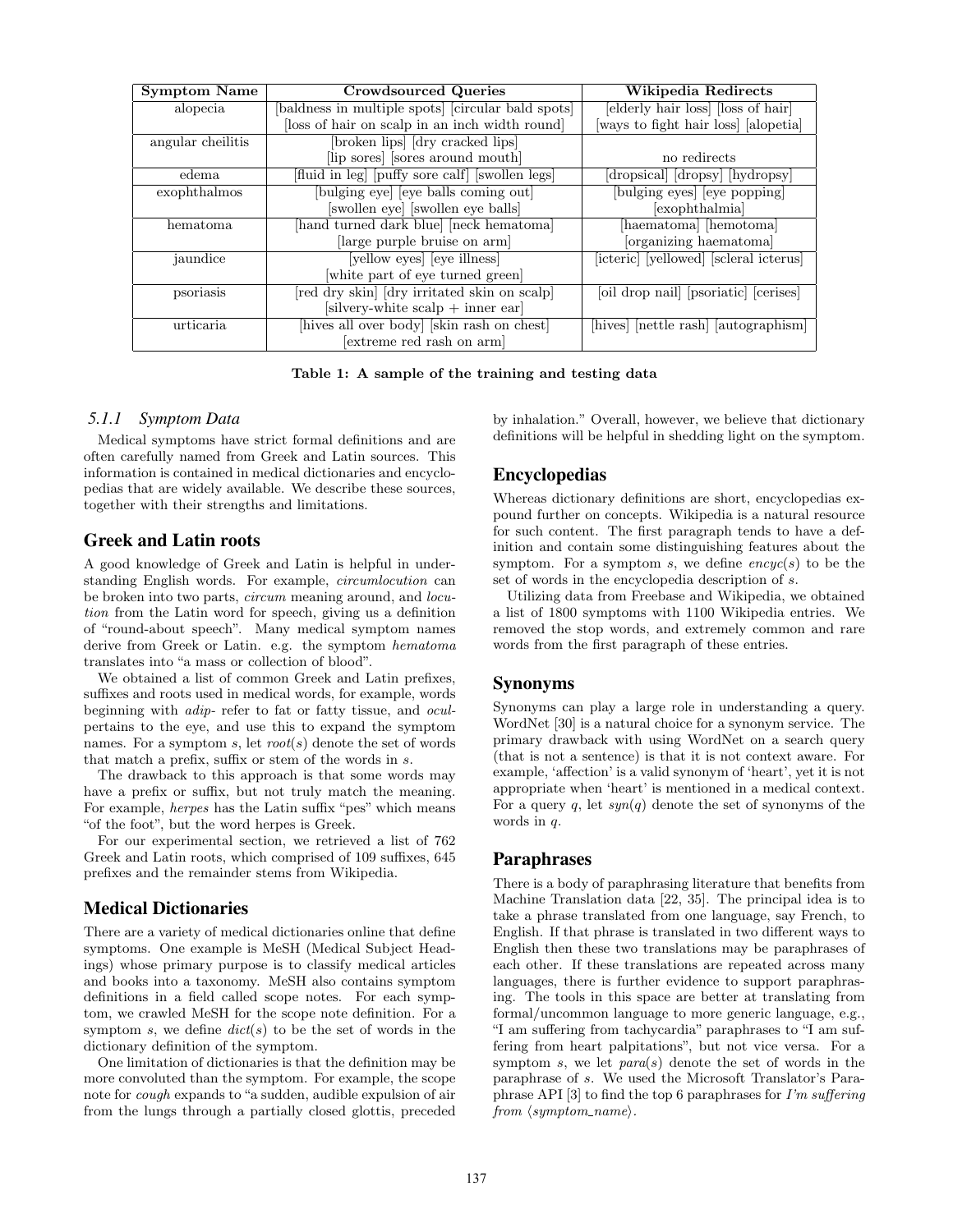| <b>Symptom Name</b> | <b>Crowdsourced Queries</b>                    | Wikipedia Redirects                    |  |
|---------------------|------------------------------------------------|----------------------------------------|--|
| alopecia            | baldness in multiple spots circular bald spots | elderly hair loss [loss of hair]       |  |
|                     | [loss of hair on scalp in an inch width round] | ways to fight hair loss [alopetia]     |  |
| angular cheilitis   | broken lips [dry cracked lips]                 |                                        |  |
|                     | [lip sores] [sores around mouth]               | no redirects                           |  |
| edema               | fluid in leg [puffy sore calf] [swollen legs]  | [dropsical] [dropsy] [hydropsy]        |  |
| exophthalmos        | [bulging eye] eye balls coming out]            | [bulging eyes] [eye popping]           |  |
|                     | swollen eye swollen eye balls                  | exophthalmia                           |  |
| hematoma            | hand turned dark blue [neck hematoma]          | [haematoma] [hemotoma]                 |  |
|                     | [large purple bruise on arm]                   | [organizing haematoma]                 |  |
| jaundice            | [yellow eyes] [eye illness]                    | [icteric] [yellowed] [scleral icterus] |  |
|                     | white part of eye turned green                 |                                        |  |
| psoriasis           | [red dry skin] [dry irritated skin on scalp]   | oil drop nail psoriatic cerises        |  |
|                     | $[silvery-white scalp + inner ear]$            |                                        |  |
| urticaria           | hives all over body [skin rash on chest]       | hives nettle rash [autographism]       |  |
|                     | [extreme red rash on arm]                      |                                        |  |

Table 1: A sample of the training and testing data

#### *5.1.1 Symptom Data*

Medical symptoms have strict formal definitions and are often carefully named from Greek and Latin sources. This information is contained in medical dictionaries and encyclopedias that are widely available. We describe these sources, together with their strengths and limitations.

# Greek and Latin roots

A good knowledge of Greek and Latin is helpful in understanding English words. For example, *circumlocution* can be broken into two parts, *circum* meaning around, and *locution* from the Latin word for speech, giving us a definition of "round-about speech". Many medical symptom names derive from Greek or Latin. e.g. the symptom *hematoma* translates into "a mass or collection of blood".

We obtained a list of common Greek and Latin prefixes, suffixes and roots used in medical words, for example, words beginning with *adip-* refer to fat or fatty tissue, and *ocul*pertains to the eye, and use this to expand the symptom names. For a symptom *s*, let *root*(*s*) denote the set of words that match a prefix, suffix or stem of the words in *s*.

The drawback to this approach is that some words may have a prefix or suffix, but not truly match the meaning. For example, *herpes* has the Latin suffix "pes" which means "of the foot", but the word herpes is Greek.

For our experimental section, we retrieved a list of 762 Greek and Latin roots, which comprised of 109 suffixes, 645 prefixes and the remainder stems from Wikipedia.

# Medical Dictionaries

There are a variety of medical dictionaries online that define symptoms. One example is MeSH (Medical Subject Headings) whose primary purpose is to classify medical articles and books into a taxonomy. MeSH also contains symptom definitions in a field called scope notes. For each symptom, we crawled MeSH for the scope note definition. For a symptom *s*, we define *dict*(*s*) to be the set of words in the dictionary definition of the symptom.

One limitation of dictionaries is that the definition may be more convoluted than the symptom. For example, the scope note for *cough* expands to "a sudden, audible expulsion of air from the lungs through a partially closed glottis, preceded

by inhalation." Overall, however, we believe that dictionary definitions will be helpful in shedding light on the symptom.

# Encyclopedias

Whereas dictionary definitions are short, encyclopedias expound further on concepts. Wikipedia is a natural resource for such content. The first paragraph tends to have a definition and contain some distinguishing features about the symptom. For a symptom  $s$ , we define  $\text{encyc}(s)$  to be the set of words in the encyclopedia description of *s*.

Utilizing data from Freebase and Wikipedia, we obtained a list of 1800 symptoms with 1100 Wikipedia entries. We removed the stop words, and extremely common and rare words from the first paragraph of these entries.

#### Synonyms

Synonyms can play a large role in understanding a query. WordNet [30] is a natural choice for a synonym service. The primary drawback with using WordNet on a search query (that is not a sentence) is that it is not context aware. For example, 'affection' is a valid synonym of 'heart', yet it is not appropriate when 'heart' is mentioned in a medical context. For a query  $q$ , let  $syn(q)$  denote the set of synonyms of the words in *q*.

#### Paraphrases

There is a body of paraphrasing literature that benefits from Machine Translation data [22, 35]. The principal idea is to take a phrase translated from one language, say French, to English. If that phrase is translated in two different ways to English then these two translations may be paraphrases of each other. If these translations are repeated across many languages, there is further evidence to support paraphrasing. The tools in this space are better at translating from formal/uncommon language to more generic language, e.g., "I am suffering from tachycardia" paraphrases to "I am suffering from heart palpitations", but not vice versa. For a symptom *s*, we let *para*(*s*) denote the set of words in the paraphrase of *s*. We used the Microsoft Translator's Paraphrase API  $[3]$  to find the top 6 paraphrases for *I'm suffering from*  $\langle \textit{symptom_name} \rangle$ .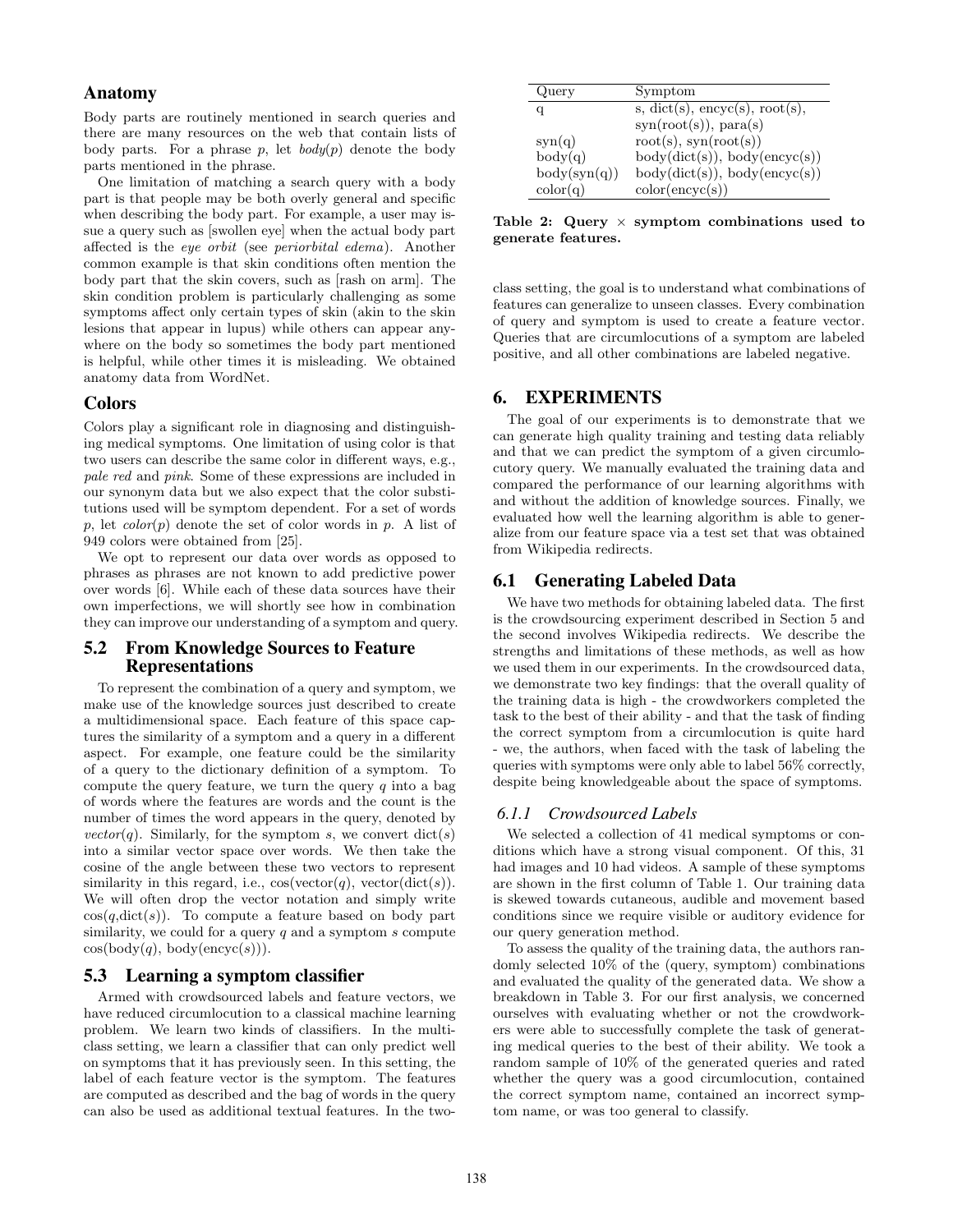### Anatomy

Body parts are routinely mentioned in search queries and there are many resources on the web that contain lists of body parts. For a phrase *p*, let *body*(*p*) denote the body parts mentioned in the phrase.

One limitation of matching a search query with a body part is that people may be both overly general and specific when describing the body part. For example, a user may issue a query such as [swollen eye] when the actual body part affected is the *eye orbit* (see *periorbital edema*). Another common example is that skin conditions often mention the body part that the skin covers, such as [rash on arm]. The skin condition problem is particularly challenging as some symptoms affect only certain types of skin (akin to the skin lesions that appear in lupus) while others can appear anywhere on the body so sometimes the body part mentioned is helpful, while other times it is misleading. We obtained anatomy data from WordNet.

# Colors

Colors play a significant role in diagnosing and distinguishing medical symptoms. One limitation of using color is that two users can describe the same color in different ways, e.g., *pale red* and *pink*. Some of these expressions are included in our synonym data but we also expect that the color substitutions used will be symptom dependent. For a set of words *p*, let *color*(*p*) denote the set of color words in *p*. A list of 949 colors were obtained from [25].

We opt to represent our data over words as opposed to phrases as phrases are not known to add predictive power over words [6]. While each of these data sources have their own imperfections, we will shortly see how in combination they can improve our understanding of a symptom and query.

## 5.2 From Knowledge Sources to Feature Representations

To represent the combination of a query and symptom, we make use of the knowledge sources just described to create a multidimensional space. Each feature of this space captures the similarity of a symptom and a query in a different aspect. For example, one feature could be the similarity of a query to the dictionary definition of a symptom. To compute the query feature, we turn the query *q* into a bag of words where the features are words and the count is the number of times the word appears in the query, denoted by  $vector(q)$ . Similarly, for the symptom *s*, we convert dict(*s*) into a similar vector space over words. We then take the cosine of the angle between these two vectors to represent similarity in this regard, i.e.,  $cos(vector(q))$ , vector(dict(s)). We will often drop the vector notation and simply write  $cos(q,\text{dict}(s))$ . To compute a feature based on body part similarity, we could for a query *q* and a symptom *s* compute  $\cos(\text{body}(q), \text{body}(\text{encyc}(s))).$ 

# 5.3 Learning a symptom classifier

Armed with crowdsourced labels and feature vectors, we have reduced circumlocution to a classical machine learning problem. We learn two kinds of classifiers. In the multiclass setting, we learn a classifier that can only predict well on symptoms that it has previously seen. In this setting, the label of each feature vector is the symptom. The features are computed as described and the bag of words in the query can also be used as additional textual features. In the two-

| Query        | Symptom                        |
|--------------|--------------------------------|
| a            | s, dict(s), encyc(s), root(s), |
|              | $syn(root(s))$ , para $(s)$    |
| syn(q)       | root(s), syn(root(s))          |
| body(q)      | body(dict(s)), body(encyc(s))  |
| body(syn(q)) | body(dict(s)), body(encyc(s))  |
| color(q)     | $color($ encyc $(s))$          |

Table 2: Query  $\times$  symptom combinations used to generate features.

class setting, the goal is to understand what combinations of features can generalize to unseen classes. Every combination of query and symptom is used to create a feature vector. Queries that are circumlocutions of a symptom are labeled positive, and all other combinations are labeled negative.

# 6. EXPERIMENTS

The goal of our experiments is to demonstrate that we can generate high quality training and testing data reliably and that we can predict the symptom of a given circumlocutory query. We manually evaluated the training data and compared the performance of our learning algorithms with and without the addition of knowledge sources. Finally, we evaluated how well the learning algorithm is able to generalize from our feature space via a test set that was obtained from Wikipedia redirects.

# 6.1 Generating Labeled Data

We have two methods for obtaining labeled data. The first is the crowdsourcing experiment described in Section 5 and the second involves Wikipedia redirects. We describe the strengths and limitations of these methods, as well as how we used them in our experiments. In the crowdsourced data, we demonstrate two key findings: that the overall quality of the training data is high - the crowdworkers completed the task to the best of their ability - and that the task of finding the correct symptom from a circumlocution is quite hard - we, the authors, when faced with the task of labeling the queries with symptoms were only able to label 56% correctly, despite being knowledgeable about the space of symptoms.

# *6.1.1 Crowdsourced Labels*

We selected a collection of 41 medical symptoms or conditions which have a strong visual component. Of this, 31 had images and 10 had videos. A sample of these symptoms are shown in the first column of Table 1. Our training data is skewed towards cutaneous, audible and movement based conditions since we require visible or auditory evidence for our query generation method.

To assess the quality of the training data, the authors randomly selected 10% of the (query, symptom) combinations and evaluated the quality of the generated data. We show a breakdown in Table 3. For our first analysis, we concerned ourselves with evaluating whether or not the crowdworkers were able to successfully complete the task of generating medical queries to the best of their ability. We took a random sample of 10% of the generated queries and rated whether the query was a good circumlocution, contained the correct symptom name, contained an incorrect symptom name, or was too general to classify.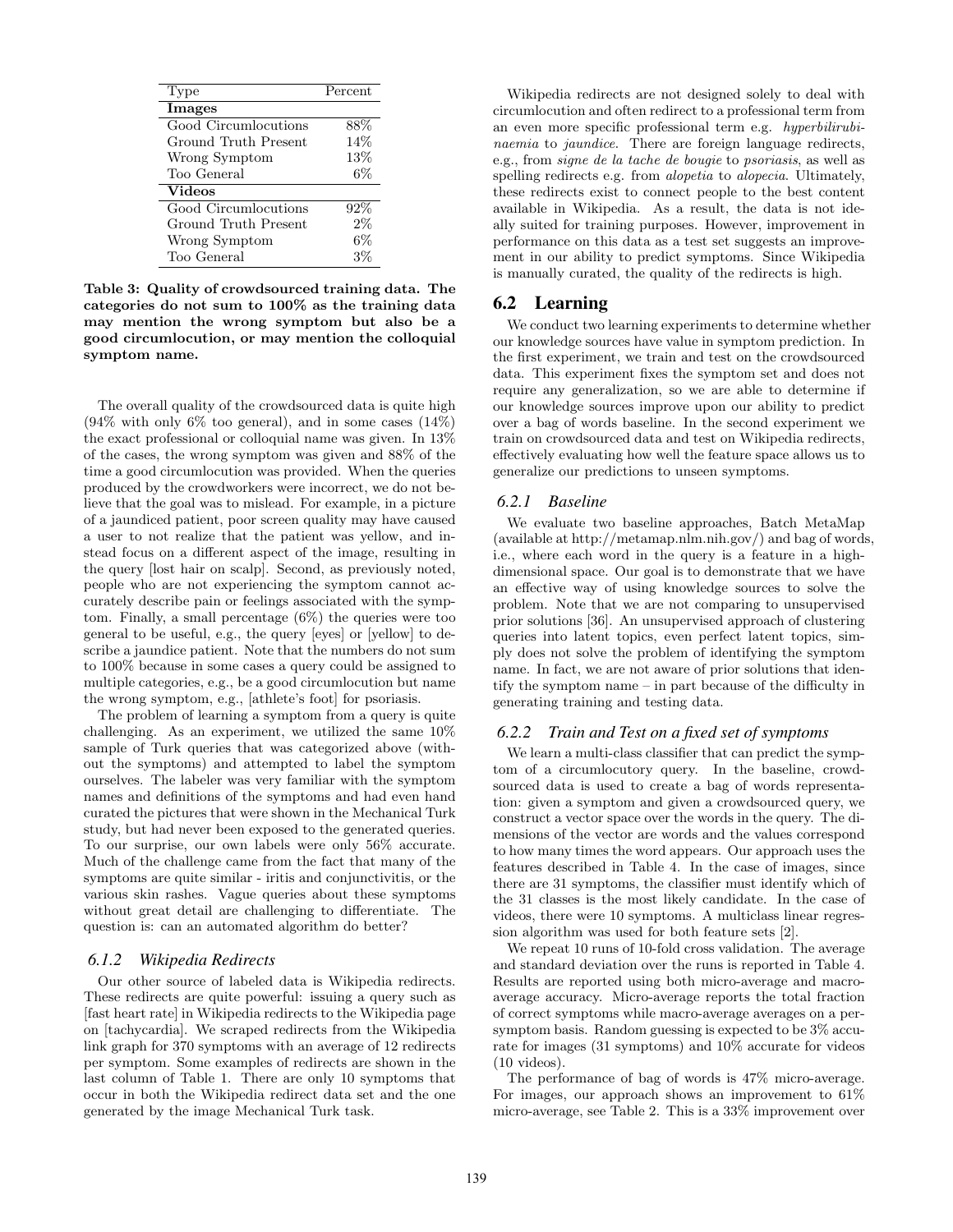| Type                 | Percent |
|----------------------|---------|
| Images               |         |
| Good Circumlocutions | 88%     |
| Ground Truth Present | 14%     |
| Wrong Symptom        | 13%     |
| Too General          | $6\%$   |
| <b>Videos</b>        |         |
| Good Circumlocutions | 92%     |
| Ground Truth Present | $2\%$   |
| Wrong Symptom        | 6%      |
| Too General          | 3%      |

Table 3: Quality of crowdsourced training data. The categories do not sum to 100% as the training data may mention the wrong symptom but also be a good circumlocution, or may mention the colloquial symptom name.

The overall quality of the crowdsourced data is quite high  $(94\%$  with only 6% too general), and in some cases  $(14\%)$ the exact professional or colloquial name was given. In 13% of the cases, the wrong symptom was given and 88% of the time a good circumlocution was provided. When the queries produced by the crowdworkers were incorrect, we do not believe that the goal was to mislead. For example, in a picture of a jaundiced patient, poor screen quality may have caused a user to not realize that the patient was yellow, and instead focus on a different aspect of the image, resulting in the query [lost hair on scalp]. Second, as previously noted, people who are not experiencing the symptom cannot accurately describe pain or feelings associated with the symptom. Finally, a small percentage (6%) the queries were too general to be useful, e.g., the query [eyes] or [yellow] to describe a jaundice patient. Note that the numbers do not sum to 100% because in some cases a query could be assigned to multiple categories, e.g., be a good circumlocution but name the wrong symptom, e.g., [athlete's foot] for psoriasis.

The problem of learning a symptom from a query is quite challenging. As an experiment, we utilized the same 10% sample of Turk queries that was categorized above (without the symptoms) and attempted to label the symptom ourselves. The labeler was very familiar with the symptom names and definitions of the symptoms and had even hand curated the pictures that were shown in the Mechanical Turk study, but had never been exposed to the generated queries. To our surprise, our own labels were only 56% accurate. Much of the challenge came from the fact that many of the symptoms are quite similar - iritis and conjunctivitis, or the various skin rashes. Vague queries about these symptoms without great detail are challenging to differentiate. The question is: can an automated algorithm do better?

#### *6.1.2 Wikipedia Redirects*

Our other source of labeled data is Wikipedia redirects. These redirects are quite powerful: issuing a query such as [fast heart rate] in Wikipedia redirects to the Wikipedia page on [tachycardia]. We scraped redirects from the Wikipedia link graph for 370 symptoms with an average of 12 redirects per symptom. Some examples of redirects are shown in the last column of Table 1. There are only 10 symptoms that occur in both the Wikipedia redirect data set and the one generated by the image Mechanical Turk task.

Wikipedia redirects are not designed solely to deal with circumlocution and often redirect to a professional term from an even more specific professional term e.g. *hyperbilirubinaemia* to *jaundice*. There are foreign language redirects, e.g., from *signe de la tache de bougie* to *psoriasis*, as well as spelling redirects e.g. from *alopetia* to *alopecia*. Ultimately, these redirects exist to connect people to the best content available in Wikipedia. As a result, the data is not ideally suited for training purposes. However, improvement in performance on this data as a test set suggests an improvement in our ability to predict symptoms. Since Wikipedia is manually curated, the quality of the redirects is high.

### 6.2 Learning

We conduct two learning experiments to determine whether our knowledge sources have value in symptom prediction. In the first experiment, we train and test on the crowdsourced data. This experiment fixes the symptom set and does not require any generalization, so we are able to determine if our knowledge sources improve upon our ability to predict over a bag of words baseline. In the second experiment we train on crowdsourced data and test on Wikipedia redirects, effectively evaluating how well the feature space allows us to generalize our predictions to unseen symptoms.

#### *6.2.1 Baseline*

We evaluate two baseline approaches, Batch MetaMap (available at http://metamap.nlm.nih.gov/) and bag of words, i.e., where each word in the query is a feature in a highdimensional space. Our goal is to demonstrate that we have an effective way of using knowledge sources to solve the problem. Note that we are not comparing to unsupervised prior solutions [36]. An unsupervised approach of clustering queries into latent topics, even perfect latent topics, simply does not solve the problem of identifying the symptom name. In fact, we are not aware of prior solutions that identify the symptom name  $-$  in part because of the difficulty in generating training and testing data.

#### *6.2.2 Train and Test on a fixed set of symptoms*

We learn a multi-class classifier that can predict the symptom of a circumlocutory query. In the baseline, crowdsourced data is used to create a bag of words representation: given a symptom and given a crowdsourced query, we construct a vector space over the words in the query. The dimensions of the vector are words and the values correspond to how many times the word appears. Our approach uses the features described in Table 4. In the case of images, since there are 31 symptoms, the classifier must identify which of the 31 classes is the most likely candidate. In the case of videos, there were 10 symptoms. A multiclass linear regression algorithm was used for both feature sets [2].

We repeat 10 runs of 10-fold cross validation. The average and standard deviation over the runs is reported in Table 4. Results are reported using both micro-average and macroaverage accuracy. Micro-average reports the total fraction of correct symptoms while macro-average averages on a persymptom basis. Random guessing is expected to be 3% accurate for images (31 symptoms) and 10% accurate for videos (10 videos).

The performance of bag of words is 47% micro-average. For images, our approach shows an improvement to 61% micro-average, see Table 2. This is a 33% improvement over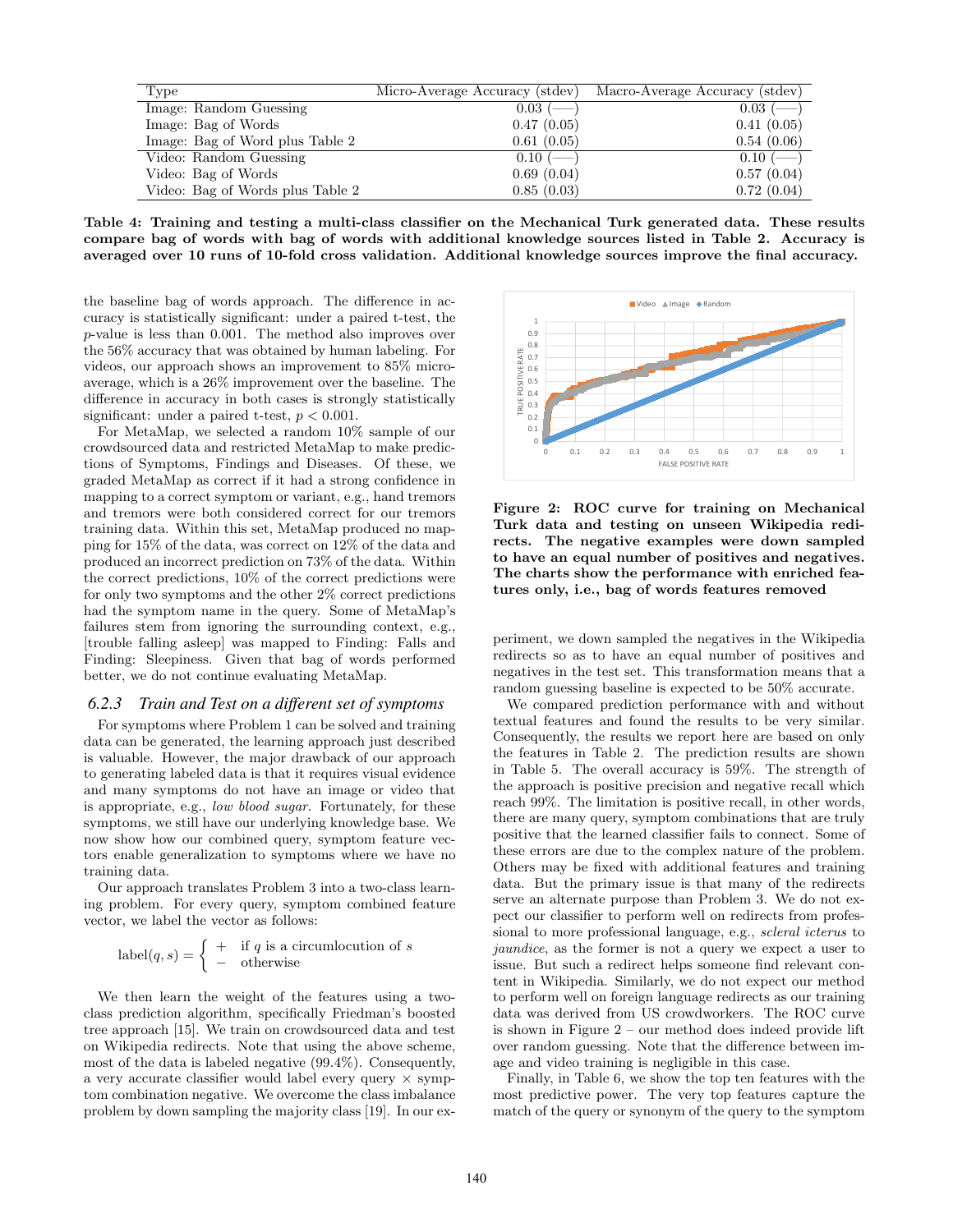| Type                             | Micro-Average Accuracy (stdev) | Macro-Average Accuracy (stdev) |
|----------------------------------|--------------------------------|--------------------------------|
| Image: Random Guessing           | $0.03$ (-                      | $0.03$ (-                      |
| Image: Bag of Words              | 0.47(0.05)                     | 0.41(0.05)                     |
| Image: Bag of Word plus Table 2  | 0.61(0.05)                     | 0.54(0.06)                     |
| Video: Random Guessing           | $0.10 \; (\text{---})$         | $0.10 \; (\text{---})$         |
| Video: Bag of Words              | 0.69(0.04)                     | 0.57(0.04)                     |
| Video: Bag of Words plus Table 2 | 0.85(0.03)                     | 0.72(0.04)                     |

Table 4: Training and testing a multi-class classifier on the Mechanical Turk generated data. These results compare bag of words with bag of words with additional knowledge sources listed in Table 2. Accuracy is averaged over 10 runs of 10-fold cross validation. Additional knowledge sources improve the final accuracy.

the baseline bag of words approach. The difference in accuracy is statistically significant: under a paired t-test, the *p*-value is less than 0.001. The method also improves over the 56% accuracy that was obtained by human labeling. For videos, our approach shows an improvement to 85% microaverage, which is a 26% improvement over the baseline. The difference in accuracy in both cases is strongly statistically significant: under a paired t-test,  $p < 0.001$ .

For MetaMap, we selected a random 10% sample of our crowdsourced data and restricted MetaMap to make predictions of Symptoms, Findings and Diseases. Of these, we graded MetaMap as correct if it had a strong confidence in mapping to a correct symptom or variant, e.g., hand tremors and tremors were both considered correct for our tremors training data. Within this set, MetaMap produced no mapping for 15% of the data, was correct on 12% of the data and produced an incorrect prediction on 73% of the data. Within the correct predictions, 10% of the correct predictions were for only two symptoms and the other 2% correct predictions had the symptom name in the query. Some of MetaMap's failures stem from ignoring the surrounding context, e.g., [trouble falling asleep] was mapped to Finding: Falls and Finding: Sleepiness. Given that bag of words performed better, we do not continue evaluating MetaMap.

#### *6.2.3 Train and Test on a different set of symptoms*

For symptoms where Problem 1 can be solved and training data can be generated, the learning approach just described is valuable. However, the major drawback of our approach to generating labeled data is that it requires visual evidence and many symptoms do not have an image or video that is appropriate, e.g., *low blood sugar*. Fortunately, for these symptoms, we still have our underlying knowledge base. We now show how our combined query, symptom feature vectors enable generalization to symptoms where we have no training data.

Our approach translates Problem 3 into a two-class learning problem. For every query, symptom combined feature vector, we label the vector as follows:

$$
label(q, s) = \begin{cases} + & \text{if } q \text{ is a circumlocation of } s \\ - & \text{otherwise} \end{cases}
$$

We then learn the weight of the features using a twoclass prediction algorithm, specifically Friedman's boosted tree approach [15]. We train on crowdsourced data and test on Wikipedia redirects. Note that using the above scheme, most of the data is labeled negative (99.4%). Consequently, a very accurate classifier would label every query  $\times$  symptom combination negative. We overcome the class imbalance problem by down sampling the majority class [19]. In our ex-



Figure 2: ROC curve for training on Mechanical Turk data and testing on unseen Wikipedia redirects. The negative examples were down sampled to have an equal number of positives and negatives. The charts show the performance with enriched features only, i.e., bag of words features removed

periment, we down sampled the negatives in the Wikipedia redirects so as to have an equal number of positives and negatives in the test set. This transformation means that a random guessing baseline is expected to be 50% accurate.

We compared prediction performance with and without textual features and found the results to be very similar. Consequently, the results we report here are based on only the features in Table 2. The prediction results are shown in Table 5. The overall accuracy is 59%. The strength of the approach is positive precision and negative recall which reach 99%. The limitation is positive recall, in other words, there are many query, symptom combinations that are truly positive that the learned classifier fails to connect. Some of these errors are due to the complex nature of the problem. Others may be fixed with additional features and training data. But the primary issue is that many of the redirects serve an alternate purpose than Problem 3. We do not expect our classifier to perform well on redirects from professional to more professional language, e.g., *scleral icterus* to *jaundice*, as the former is not a query we expect a user to issue. But such a redirect helps someone find relevant content in Wikipedia. Similarly, we do not expect our method to perform well on foreign language redirects as our training data was derived from US crowdworkers. The ROC curve is shown in Figure 2 – our method does indeed provide lift over random guessing. Note that the difference between image and video training is negligible in this case.

Finally, in Table 6, we show the top ten features with the most predictive power. The very top features capture the match of the query or synonym of the query to the symptom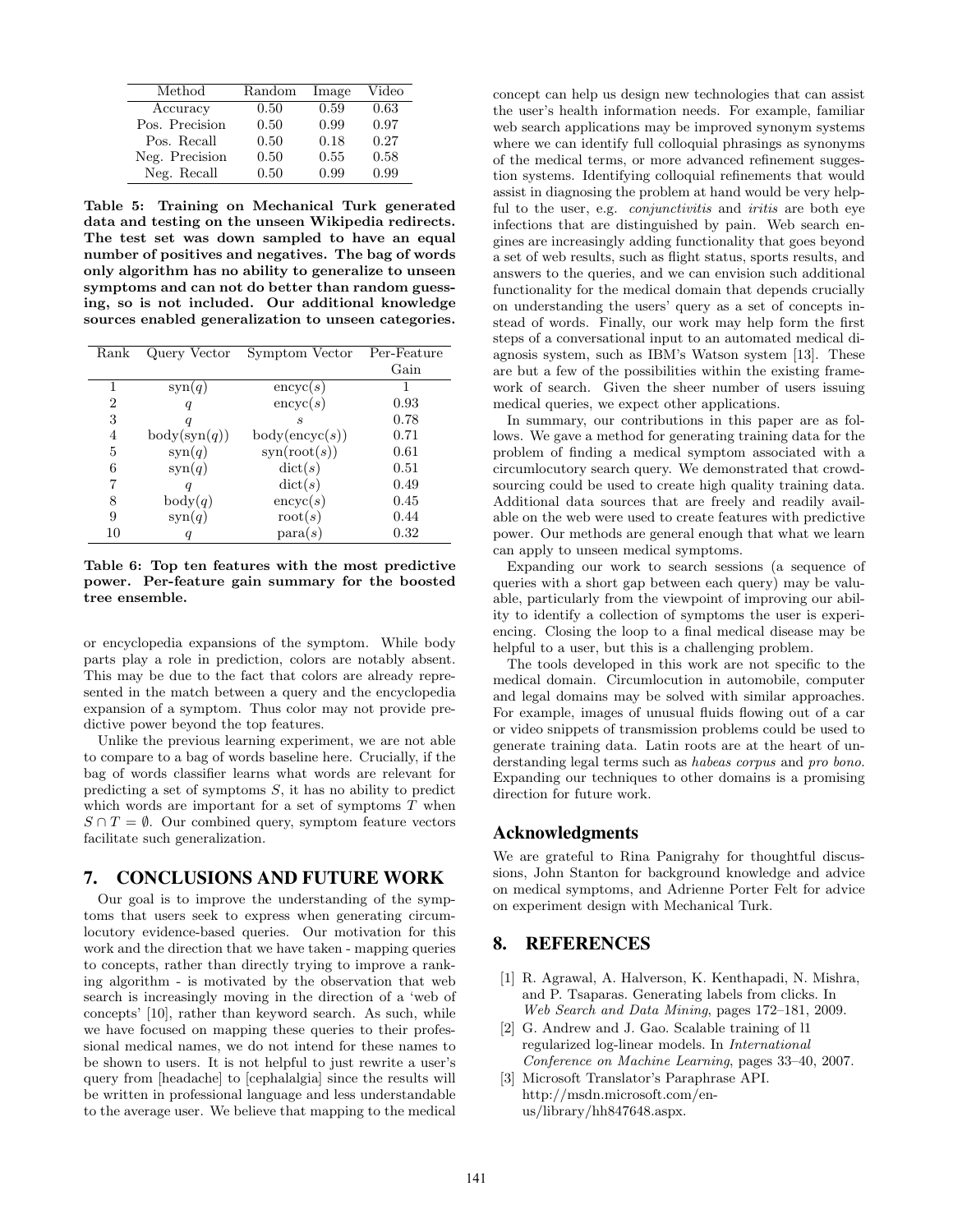| Method         | Random | Image | Video |
|----------------|--------|-------|-------|
| Accuracy       | 0.50   | 0.59  | 0.63  |
| Pos. Precision | 0.50   | 0.99  | 0.97  |
| Pos. Recall    | 0.50   | 0.18  | 0.27  |
| Neg. Precision | 0.50   | 0.55  | 0.58  |
| Neg. Recall    | 0.50   | 0.99  | 0.99  |

Table 5: Training on Mechanical Turk generated data and testing on the unseen Wikipedia redirects. The test set was down sampled to have an equal number of positives and negatives. The bag of words only algorithm has no ability to generalize to unseen symptoms and can not do better than random guessing, so is not included. Our additional knowledge sources enabled generalization to unseen categories.

| Rank | Query Vector            | Symptom Vector      | Per-Feature |
|------|-------------------------|---------------------|-------------|
|      |                         |                     | Gain        |
| 1    | $\operatorname{syn}(q)$ | $\mathbf{encyc}(s)$ |             |
| 2    |                         | $\mathbf{encyc}(s)$ | 0.93        |
| 3    |                         | S                   | 0.78        |
| 4    | body(syn(q))            | body(encyc(s))      | 0.71        |
| 5    | $\operatorname{syn}(q)$ | syn(root(s))        | 0.61        |
| 6    | $\operatorname{syn}(q)$ | dict(s)             | 0.51        |
|      | q                       | dict(s)             | 0.49        |
| 8    | body(q)                 | $\text{encyc}(s)$   | 0.45        |
| 9    | $\operatorname{syn}(q)$ | $\mathrm{root}(s)$  | 0.44        |
| 10   |                         | para(s)             | 0.32        |

Table 6: Top ten features with the most predictive power. Per-feature gain summary for the boosted tree ensemble.

or encyclopedia expansions of the symptom. While body parts play a role in prediction, colors are notably absent. This may be due to the fact that colors are already represented in the match between a query and the encyclopedia expansion of a symptom. Thus color may not provide predictive power beyond the top features.

Unlike the previous learning experiment, we are not able to compare to a bag of words baseline here. Crucially, if the bag of words classifier learns what words are relevant for predicting a set of symptoms *S*, it has no ability to predict which words are important for a set of symptoms *T* when  $S \cap T = \emptyset$ . Our combined query, symptom feature vectors facilitate such generalization.

#### 7. CONCLUSIONS AND FUTURE WORK

Our goal is to improve the understanding of the symptoms that users seek to express when generating circumlocutory evidence-based queries. Our motivation for this work and the direction that we have taken - mapping queries to concepts, rather than directly trying to improve a ranking algorithm - is motivated by the observation that web search is increasingly moving in the direction of a 'web of concepts' [10], rather than keyword search. As such, while we have focused on mapping these queries to their professional medical names, we do not intend for these names to be shown to users. It is not helpful to just rewrite a user's query from [headache] to [cephalalgia] since the results will be written in professional language and less understandable to the average user. We believe that mapping to the medical concept can help us design new technologies that can assist the user's health information needs. For example, familiar web search applications may be improved synonym systems where we can identify full colloquial phrasings as synonyms of the medical terms, or more advanced refinement suggestion systems. Identifying colloquial refinements that would assist in diagnosing the problem at hand would be very helpful to the user, e.g. *conjunctivitis* and *iritis* are both eye infections that are distinguished by pain. Web search engines are increasingly adding functionality that goes beyond a set of web results, such as flight status, sports results, and answers to the queries, and we can envision such additional functionality for the medical domain that depends crucially on understanding the users' query as a set of concepts instead of words. Finally, our work may help form the first steps of a conversational input to an automated medical diagnosis system, such as IBM's Watson system [13]. These are but a few of the possibilities within the existing framework of search. Given the sheer number of users issuing medical queries, we expect other applications.

In summary, our contributions in this paper are as follows. We gave a method for generating training data for the problem of finding a medical symptom associated with a circumlocutory search query. We demonstrated that crowdsourcing could be used to create high quality training data. Additional data sources that are freely and readily available on the web were used to create features with predictive power. Our methods are general enough that what we learn can apply to unseen medical symptoms.

Expanding our work to search sessions (a sequence of queries with a short gap between each query) may be valuable, particularly from the viewpoint of improving our ability to identify a collection of symptoms the user is experiencing. Closing the loop to a final medical disease may be helpful to a user, but this is a challenging problem.

The tools developed in this work are not specific to the medical domain. Circumlocution in automobile, computer and legal domains may be solved with similar approaches. For example, images of unusual fluids flowing out of a car or video snippets of transmission problems could be used to generate training data. Latin roots are at the heart of understanding legal terms such as *habeas corpus* and *pro bono*. Expanding our techniques to other domains is a promising direction for future work.

#### Acknowledgments

We are grateful to Rina Panigrahy for thoughtful discussions, John Stanton for background knowledge and advice on medical symptoms, and Adrienne Porter Felt for advice on experiment design with Mechanical Turk.

## 8. REFERENCES

- [1] R. Agrawal, A. Halverson, K. Kenthapadi, N. Mishra, and P. Tsaparas. Generating labels from clicks. In *Web Search and Data Mining*, pages 172–181, 2009.
- [2] G. Andrew and J. Gao. Scalable training of l1 regularized log-linear models. In *International Conference on Machine Learning*, pages 33–40, 2007.
- [3] Microsoft Translator's Paraphrase API. http://msdn.microsoft.com/enus/library/hh847648.aspx.